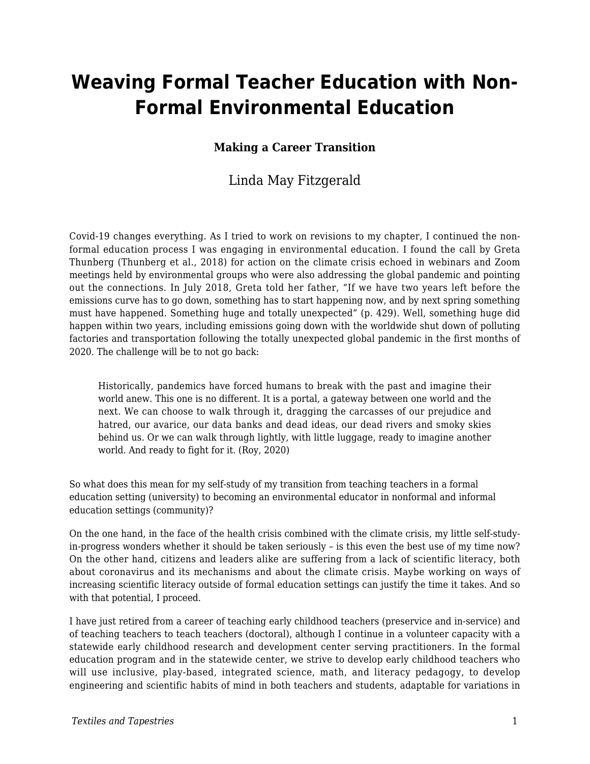# **Weaving Formal Teacher Education with Non-Formal Environmental Education**

#### **Making a Career Transition**

#### Linda May Fitzgerald

Covid-19 changes everything. As I tried to work on revisions to my chapter, I continued the nonformal education process I was engaging in environmental education. I found the call by Greta Thunberg (Thunberg et al., 2018) for action on the climate crisis echoed in webinars and Zoom meetings held by environmental groups who were also addressing the global pandemic and pointing out the connections. In July 2018, Greta told her father, "If we have two years left before the emissions curve has to go down, something has to start happening now, and by next spring something must have happened. Something huge and totally unexpected" (p. 429). Well, something huge did happen within two years, including emissions going down with the worldwide shut down of polluting factories and transportation following the totally unexpected global pandemic in the first months of 2020. The challenge will be to not go back:

Historically, pandemics have forced humans to break with the past and imagine their world anew. This one is no different. It is a portal, a gateway between one world and the next. We can choose to walk through it, dragging the carcasses of our prejudice and hatred, our avarice, our data banks and dead ideas, our dead rivers and smoky skies behind us. Or we can walk through lightly, with little luggage, ready to imagine another world. And ready to fight for it. (Roy, 2020)

So what does this mean for my self-study of my transition from teaching teachers in a formal education setting (university) to becoming an environmental educator in nonformal and informal education settings (community)?

On the one hand, in the face of the health crisis combined with the climate crisis, my little self-studyin-progress wonders whether it should be taken seriously – is this even the best use of my time now? On the other hand, citizens and leaders alike are suffering from a lack of scientific literacy, both about coronavirus and its mechanisms and about the climate crisis. Maybe working on ways of increasing scientific literacy outside of formal education settings can justify the time it takes. And so with that potential, I proceed.

I have just retired from a career of teaching early childhood teachers (preservice and in-service) and of teaching teachers to teach teachers (doctoral), although I continue in a volunteer capacity with a statewide early childhood research and development center serving practitioners. In the formal education program and in the statewide center, we strive to develop early childhood teachers who will use inclusive, play-based, integrated science, math, and literacy pedagogy, to develop engineering and scientific habits of mind in both teachers and students, adaptable for variations in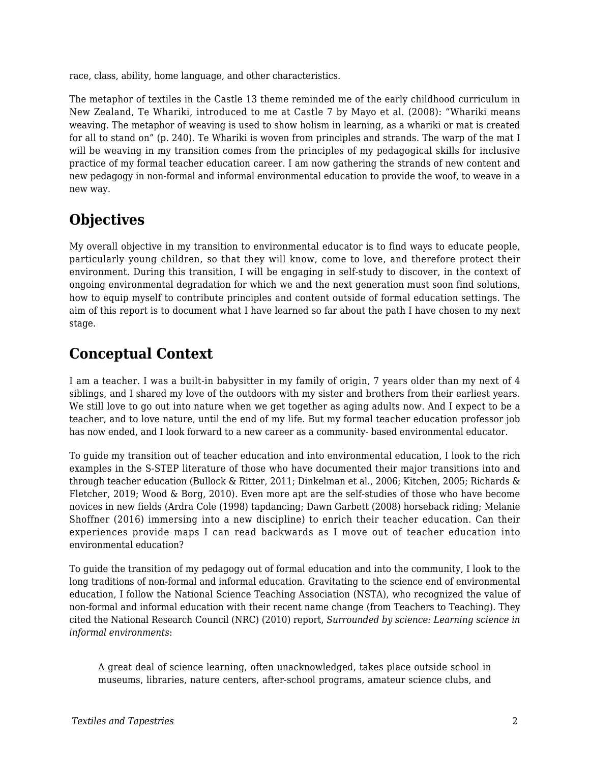race, class, ability, home language, and other characteristics.

The metaphor of textiles in the Castle 13 theme reminded me of the early childhood curriculum in New Zealand, Te Whariki, introduced to me at Castle 7 by Mayo et al. (2008): "Whariki means weaving. The metaphor of weaving is used to show holism in learning, as a whariki or mat is created for all to stand on" (p. 240). Te Whariki is woven from principles and strands. The warp of the mat I will be weaving in my transition comes from the principles of my pedagogical skills for inclusive practice of my formal teacher education career. I am now gathering the strands of new content and new pedagogy in non-formal and informal environmental education to provide the woof, to weave in a new way.

## **Objectives**

My overall objective in my transition to environmental educator is to find ways to educate people, particularly young children, so that they will know, come to love, and therefore protect their environment. During this transition, I will be engaging in self-study to discover, in the context of ongoing environmental degradation for which we and the next generation must soon find solutions, how to equip myself to contribute principles and content outside of formal education settings. The aim of this report is to document what I have learned so far about the path I have chosen to my next stage.

### **Conceptual Context**

I am a teacher. I was a built-in babysitter in my family of origin, 7 years older than my next of 4 siblings, and I shared my love of the outdoors with my sister and brothers from their earliest years. We still love to go out into nature when we get together as aging adults now. And I expect to be a teacher, and to love nature, until the end of my life. But my formal teacher education professor job has now ended, and I look forward to a new career as a community- based environmental educator.

To guide my transition out of teacher education and into environmental education, I look to the rich examples in the S-STEP literature of those who have documented their major transitions into and through teacher education (Bullock & Ritter, 2011; Dinkelman et al., 2006; Kitchen, 2005; Richards & Fletcher, 2019; Wood & Borg, 2010). Even more apt are the self-studies of those who have become novices in new fields (Ardra Cole (1998) tapdancing; Dawn Garbett (2008) horseback riding; Melanie Shoffner (2016) immersing into a new discipline) to enrich their teacher education. Can their experiences provide maps I can read backwards as I move out of teacher education into environmental education?

To guide the transition of my pedagogy out of formal education and into the community, I look to the long traditions of non-formal and informal education. Gravitating to the science end of environmental education, I follow the National Science Teaching Association (NSTA), who recognized the value of non-formal and informal education with their recent name change (from Teachers to Teaching). They cited the National Research Council (NRC) (2010) report, *Surrounded by science: Learning science in informal environments*:

A great deal of science learning, often unacknowledged, takes place outside school in museums, libraries, nature centers, after-school programs, amateur science clubs, and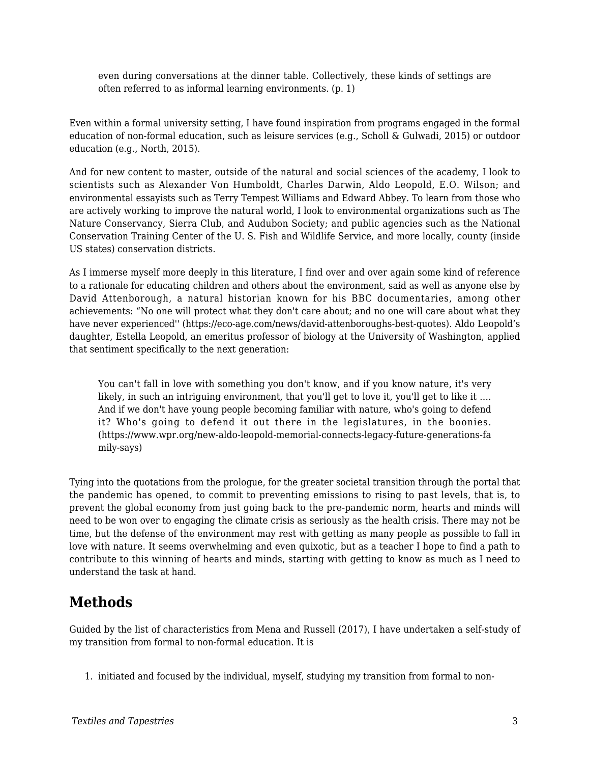even during conversations at the dinner table. Collectively, these kinds of settings are often referred to as informal learning environments. (p. 1)

Even within a formal university setting, I have found inspiration from programs engaged in the formal education of non-formal education, such as leisure services (e.g., Scholl & Gulwadi, 2015) or outdoor education (e.g., North, 2015).

And for new content to master, outside of the natural and social sciences of the academy, I look to scientists such as Alexander Von Humboldt, Charles Darwin, Aldo Leopold, E.O. Wilson; and environmental essayists such as Terry Tempest Williams and Edward Abbey. To learn from those who are actively working to improve the natural world, I look to environmental organizations such as The Nature Conservancy, Sierra Club, and Audubon Society; and public agencies such as the National Conservation Training Center of the U. S. Fish and Wildlife Service, and more locally, county (inside US states) conservation districts.

As I immerse myself more deeply in this literature, I find over and over again some kind of reference to a rationale for educating children and others about the environment, said as well as anyone else by David Attenborough, a natural historian known for his BBC documentaries, among other achievements: "No one will protect what they don't care about; and no one will care about what they have never experienced'' (https://eco-age.com/news/david-attenboroughs-best-quotes). Aldo Leopold's daughter, Estella Leopold, an emeritus professor of biology at the University of Washington, applied that sentiment specifically to the next generation:

You can't fall in love with something you don't know, and if you know nature, it's very likely, in such an intriguing environment, that you'll get to love it, you'll get to like it .... And if we don't have young people becoming familiar with nature, who's going to defend it? Who's going to defend it out there in the legislatures, in the boonies. (https://www.wpr.org/new-aldo-leopold-memorial-connects-legacy-future-generations-fa mily-says)

Tying into the quotations from the prologue, for the greater societal transition through the portal that the pandemic has opened, to commit to preventing emissions to rising to past levels, that is, to prevent the global economy from just going back to the pre-pandemic norm, hearts and minds will need to be won over to engaging the climate crisis as seriously as the health crisis. There may not be time, but the defense of the environment may rest with getting as many people as possible to fall in love with nature. It seems overwhelming and even quixotic, but as a teacher I hope to find a path to contribute to this winning of hearts and minds, starting with getting to know as much as I need to understand the task at hand.

### **Methods**

Guided by the list of characteristics from Mena and Russell (2017), I have undertaken a self-study of my transition from formal to non-formal education. It is

1. initiated and focused by the individual, myself, studying my transition from formal to non-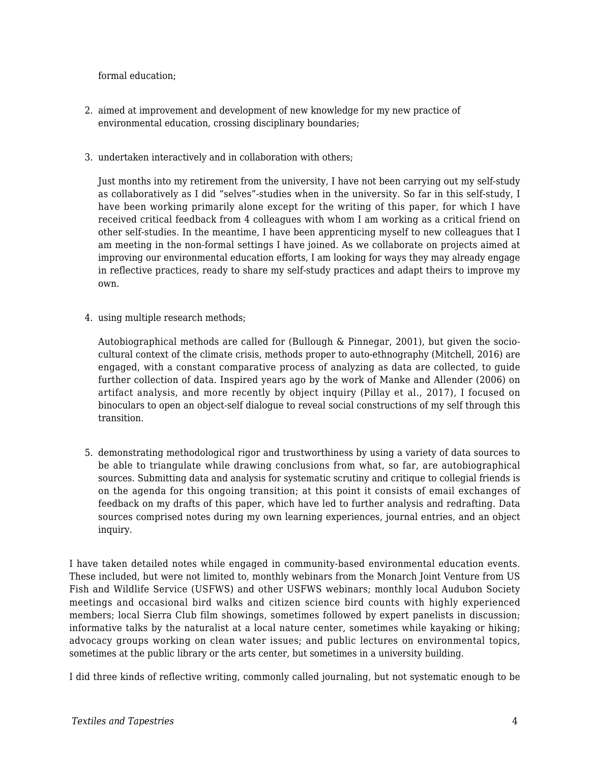formal education;

- 2. aimed at improvement and development of new knowledge for my new practice of environmental education, crossing disciplinary boundaries;
- 3. undertaken interactively and in collaboration with others;

Just months into my retirement from the university, I have not been carrying out my self-study as collaboratively as I did "selves"-studies when in the university. So far in this self-study, I have been working primarily alone except for the writing of this paper, for which I have received critical feedback from 4 colleagues with whom I am working as a critical friend on other self-studies. In the meantime, I have been apprenticing myself to new colleagues that I am meeting in the non-formal settings I have joined. As we collaborate on projects aimed at improving our environmental education efforts, I am looking for ways they may already engage in reflective practices, ready to share my self-study practices and adapt theirs to improve my own.

4. using multiple research methods;

Autobiographical methods are called for (Bullough & Pinnegar, 2001), but given the sociocultural context of the climate crisis, methods proper to auto-ethnography (Mitchell, 2016) are engaged, with a constant comparative process of analyzing as data are collected, to guide further collection of data. Inspired years ago by the work of Manke and Allender (2006) on artifact analysis, and more recently by object inquiry (Pillay et al., 2017), I focused on binoculars to open an object-self dialogue to reveal social constructions of my self through this transition.

5. demonstrating methodological rigor and trustworthiness by using a variety of data sources to be able to triangulate while drawing conclusions from what, so far, are autobiographical sources. Submitting data and analysis for systematic scrutiny and critique to collegial friends is on the agenda for this ongoing transition; at this point it consists of email exchanges of feedback on my drafts of this paper, which have led to further analysis and redrafting. Data sources comprised notes during my own learning experiences, journal entries, and an object inquiry.

I have taken detailed notes while engaged in community-based environmental education events. These included, but were not limited to, monthly webinars from the Monarch Joint Venture from US Fish and Wildlife Service (USFWS) and other USFWS webinars; monthly local Audubon Society meetings and occasional bird walks and citizen science bird counts with highly experienced members; local Sierra Club film showings, sometimes followed by expert panelists in discussion; informative talks by the naturalist at a local nature center, sometimes while kayaking or hiking; advocacy groups working on clean water issues; and public lectures on environmental topics, sometimes at the public library or the arts center, but sometimes in a university building.

I did three kinds of reflective writing, commonly called journaling, but not systematic enough to be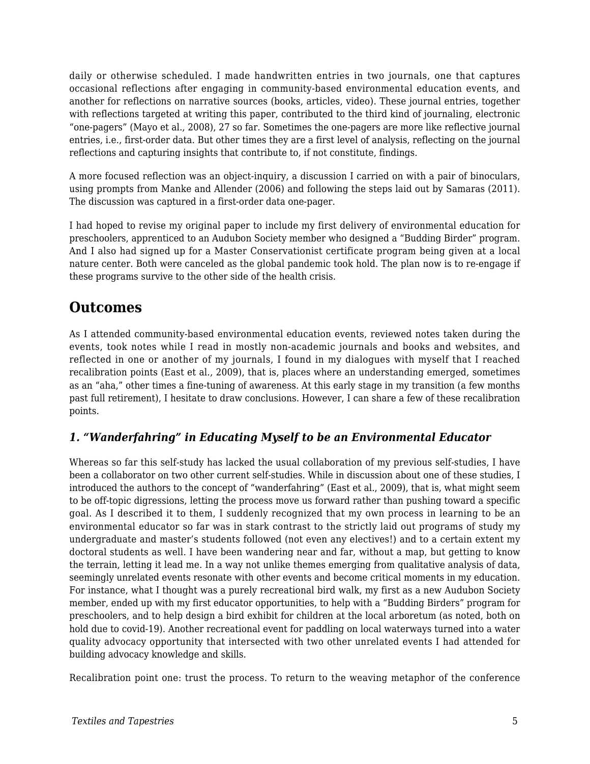daily or otherwise scheduled. I made handwritten entries in two journals, one that captures occasional reflections after engaging in community-based environmental education events, and another for reflections on narrative sources (books, articles, video). These journal entries, together with reflections targeted at writing this paper, contributed to the third kind of journaling, electronic "one-pagers" (Mayo et al., 2008), 27 so far. Sometimes the one-pagers are more like reflective journal entries, i.e., first-order data. But other times they are a first level of analysis, reflecting on the journal reflections and capturing insights that contribute to, if not constitute, findings.

A more focused reflection was an object-inquiry, a discussion I carried on with a pair of binoculars, using prompts from Manke and Allender (2006) and following the steps laid out by Samaras (2011). The discussion was captured in a first-order data one-pager.

I had hoped to revise my original paper to include my first delivery of environmental education for preschoolers, apprenticed to an Audubon Society member who designed a "Budding Birder" program. And I also had signed up for a Master Conservationist certificate program being given at a local nature center. Both were canceled as the global pandemic took hold. The plan now is to re-engage if these programs survive to the other side of the health crisis.

### **Outcomes**

As I attended community-based environmental education events, reviewed notes taken during the events, took notes while I read in mostly non-academic journals and books and websites, and reflected in one or another of my journals, I found in my dialogues with myself that I reached recalibration points (East et al., 2009), that is, places where an understanding emerged, sometimes as an "aha," other times a fine-tuning of awareness. At this early stage in my transition (a few months past full retirement), I hesitate to draw conclusions. However, I can share a few of these recalibration points.

#### *1. "Wanderfahring" in Educating Myself to be an Environmental Educator*

Whereas so far this self-study has lacked the usual collaboration of my previous self-studies, I have been a collaborator on two other current self-studies. While in discussion about one of these studies, I introduced the authors to the concept of "wanderfahring" (East et al., 2009), that is, what might seem to be off-topic digressions, letting the process move us forward rather than pushing toward a specific goal. As I described it to them, I suddenly recognized that my own process in learning to be an environmental educator so far was in stark contrast to the strictly laid out programs of study my undergraduate and master's students followed (not even any electives!) and to a certain extent my doctoral students as well. I have been wandering near and far, without a map, but getting to know the terrain, letting it lead me. In a way not unlike themes emerging from qualitative analysis of data, seemingly unrelated events resonate with other events and become critical moments in my education. For instance, what I thought was a purely recreational bird walk, my first as a new Audubon Society member, ended up with my first educator opportunities, to help with a "Budding Birders" program for preschoolers, and to help design a bird exhibit for children at the local arboretum (as noted, both on hold due to covid-19). Another recreational event for paddling on local waterways turned into a water quality advocacy opportunity that intersected with two other unrelated events I had attended for building advocacy knowledge and skills.

Recalibration point one: trust the process. To return to the weaving metaphor of the conference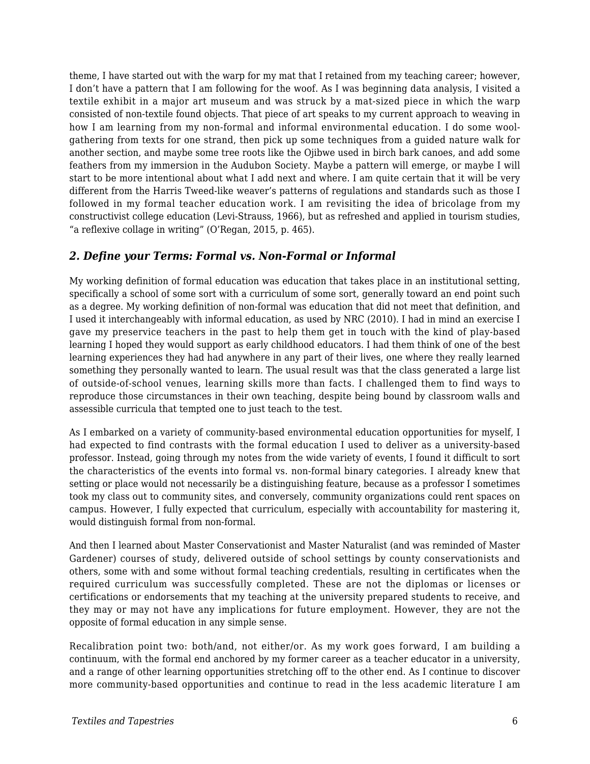theme, I have started out with the warp for my mat that I retained from my teaching career; however, I don't have a pattern that I am following for the woof. As I was beginning data analysis, I visited a textile exhibit in a major art museum and was struck by a mat-sized piece in which the warp consisted of non-textile found objects. That piece of art speaks to my current approach to weaving in how I am learning from my non-formal and informal environmental education. I do some woolgathering from texts for one strand, then pick up some techniques from a guided nature walk for another section, and maybe some tree roots like the Ojibwe used in birch bark canoes, and add some feathers from my immersion in the Audubon Society. Maybe a pattern will emerge, or maybe I will start to be more intentional about what I add next and where. I am quite certain that it will be very different from the Harris Tweed-like weaver's patterns of regulations and standards such as those I followed in my formal teacher education work. I am revisiting the idea of bricolage from my constructivist college education (Levi-Strauss, 1966), but as refreshed and applied in tourism studies, "a reflexive collage in writing" (O'Regan, 2015, p. 465).

#### *2. Define your Terms: Formal vs. Non-Formal or Informal*

My working definition of formal education was education that takes place in an institutional setting, specifically a school of some sort with a curriculum of some sort, generally toward an end point such as a degree. My working definition of non-formal was education that did not meet that definition, and I used it interchangeably with informal education, as used by NRC (2010). I had in mind an exercise I gave my preservice teachers in the past to help them get in touch with the kind of play-based learning I hoped they would support as early childhood educators. I had them think of one of the best learning experiences they had had anywhere in any part of their lives, one where they really learned something they personally wanted to learn. The usual result was that the class generated a large list of outside-of-school venues, learning skills more than facts. I challenged them to find ways to reproduce those circumstances in their own teaching, despite being bound by classroom walls and assessible curricula that tempted one to just teach to the test.

As I embarked on a variety of community-based environmental education opportunities for myself, I had expected to find contrasts with the formal education I used to deliver as a university-based professor. Instead, going through my notes from the wide variety of events, I found it difficult to sort the characteristics of the events into formal vs. non-formal binary categories. I already knew that setting or place would not necessarily be a distinguishing feature, because as a professor I sometimes took my class out to community sites, and conversely, community organizations could rent spaces on campus. However, I fully expected that curriculum, especially with accountability for mastering it, would distinguish formal from non-formal.

And then I learned about Master Conservationist and Master Naturalist (and was reminded of Master Gardener) courses of study, delivered outside of school settings by county conservationists and others, some with and some without formal teaching credentials, resulting in certificates when the required curriculum was successfully completed. These are not the diplomas or licenses or certifications or endorsements that my teaching at the university prepared students to receive, and they may or may not have any implications for future employment. However, they are not the opposite of formal education in any simple sense.

Recalibration point two: both/and, not either/or. As my work goes forward, I am building a continuum, with the formal end anchored by my former career as a teacher educator in a university, and a range of other learning opportunities stretching off to the other end. As I continue to discover more community-based opportunities and continue to read in the less academic literature I am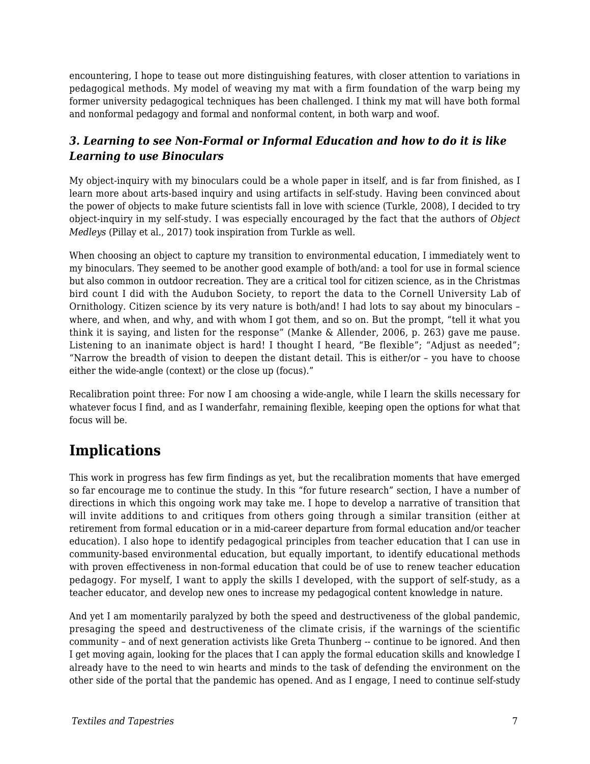encountering, I hope to tease out more distinguishing features, with closer attention to variations in pedagogical methods. My model of weaving my mat with a firm foundation of the warp being my former university pedagogical techniques has been challenged. I think my mat will have both formal and nonformal pedagogy and formal and nonformal content, in both warp and woof.

#### *3. Learning to see Non-Formal or Informal Education and how to do it is like Learning to use Binoculars*

My object-inquiry with my binoculars could be a whole paper in itself, and is far from finished, as I learn more about arts-based inquiry and using artifacts in self-study. Having been convinced about the power of objects to make future scientists fall in love with science (Turkle, 2008), I decided to try object-inquiry in my self-study. I was especially encouraged by the fact that the authors of *Object Medleys* (Pillay et al., 2017) took inspiration from Turkle as well.

When choosing an object to capture my transition to environmental education, I immediately went to my binoculars. They seemed to be another good example of both/and: a tool for use in formal science but also common in outdoor recreation. They are a critical tool for citizen science, as in the Christmas bird count I did with the Audubon Society, to report the data to the Cornell University Lab of Ornithology. Citizen science by its very nature is both/and! I had lots to say about my binoculars – where, and when, and why, and with whom I got them, and so on. But the prompt, "tell it what you think it is saying, and listen for the response" (Manke & Allender, 2006, p. 263) gave me pause. Listening to an inanimate object is hard! I thought I heard, "Be flexible"; "Adjust as needed"; "Narrow the breadth of vision to deepen the distant detail. This is either/or – you have to choose either the wide-angle (context) or the close up (focus)."

Recalibration point three: For now I am choosing a wide-angle, while I learn the skills necessary for whatever focus I find, and as I wanderfahr, remaining flexible, keeping open the options for what that focus will be.

# **Implications**

This work in progress has few firm findings as yet, but the recalibration moments that have emerged so far encourage me to continue the study. In this "for future research" section, I have a number of directions in which this ongoing work may take me. I hope to develop a narrative of transition that will invite additions to and critiques from others going through a similar transition (either at retirement from formal education or in a mid-career departure from formal education and/or teacher education). I also hope to identify pedagogical principles from teacher education that I can use in community-based environmental education, but equally important, to identify educational methods with proven effectiveness in non-formal education that could be of use to renew teacher education pedagogy. For myself, I want to apply the skills I developed, with the support of self-study, as a teacher educator, and develop new ones to increase my pedagogical content knowledge in nature.

And yet I am momentarily paralyzed by both the speed and destructiveness of the global pandemic, presaging the speed and destructiveness of the climate crisis, if the warnings of the scientific community – and of next generation activists like Greta Thunberg -- continue to be ignored. And then I get moving again, looking for the places that I can apply the formal education skills and knowledge I already have to the need to win hearts and minds to the task of defending the environment on the other side of the portal that the pandemic has opened. And as I engage, I need to continue self-study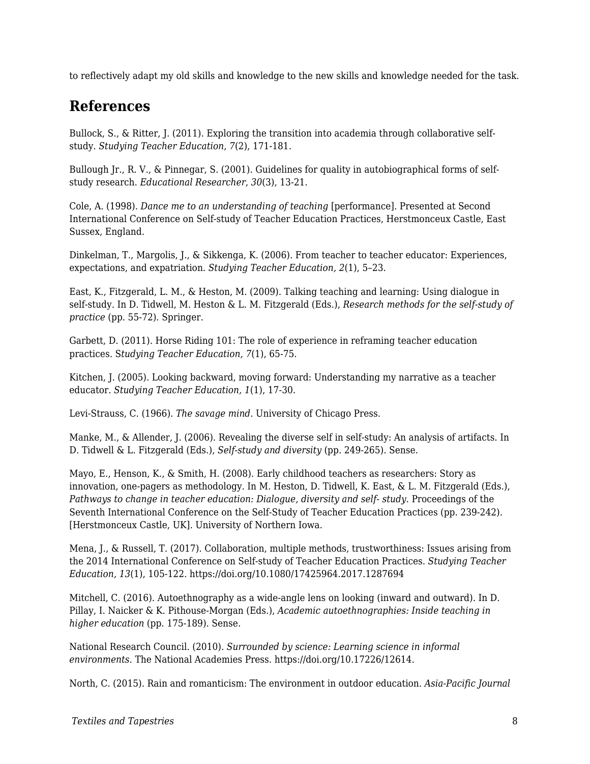to reflectively adapt my old skills and knowledge to the new skills and knowledge needed for the task.

### **References**

Bullock, S., & Ritter, J. (2011). Exploring the transition into academia through collaborative selfstudy. *Studying Teacher Education*, *7*(2), 171-181.

Bullough Jr., R. V., & Pinnegar, S. (2001). Guidelines for quality in autobiographical forms of selfstudy research. *Educational Researcher*, *30*(3), 13-21.

Cole, A. (1998). *Dance me to an understanding of teaching* [performance]. Presented at Second International Conference on Self-study of Teacher Education Practices, Herstmonceux Castle, East Sussex, England.

Dinkelman, T., Margolis, J., & Sikkenga, K. (2006). From teacher to teacher educator: Experiences, expectations, and expatriation. *Studying Teacher Education, 2*(1), 5–23.

East, K., Fitzgerald, L. M., & Heston, M. (2009). Talking teaching and learning: Using dialogue in self-study. In D. Tidwell, M. Heston & L. M. Fitzgerald (Eds.), *Research methods for the self-study of practice* (pp. 55-72). Springer.

Garbett, D. (2011). Horse Riding 101: The role of experience in reframing teacher education practices. S*tudying Teacher Education, 7*(1), 65-75.

Kitchen, J. (2005). Looking backward, moving forward: Understanding my narrative as a teacher educator. *Studying Teacher Education, 1*(1), 17-30.

Levi-Strauss, C. (1966). *The savage mind*. University of Chicago Press.

Manke, M., & Allender, J. (2006). Revealing the diverse self in self-study: An analysis of artifacts. In D. Tidwell & L. Fitzgerald (Eds.), *Self-study and diversity* (pp. 249-265). Sense.

Mayo, E., Henson, K., & Smith, H. (2008). Early childhood teachers as researchers: Story as innovation, one-pagers as methodology. In M. Heston, D. Tidwell, K. East, & L. M. Fitzgerald (Eds.), Pathways to change in teacher education: Dialogue, diversity and self- study. Proceedings of the Seventh International Conference on the Self-Study of Teacher Education Practices (pp. 239-242)*.* [Herstmonceux Castle, UK]. University of Northern Iowa.

Mena, J., & Russell, T. (2017). Collaboration, multiple methods, trustworthiness: Issues arising from the 2014 International Conference on Self-study of Teacher Education Practices. *Studying Teacher Education, 13*(1), 105-122. https://doi.org/10.1080/17425964.2017.1287694

Mitchell, C. (2016). Autoethnography as a wide-angle lens on looking (inward and outward). In D. Pillay, I. Naicker & K. Pithouse-Morgan (Eds.), *Academic autoethnographies: Inside teaching in higher education* (pp. 175-189). Sense.

National Research Council. (2010). *Surrounded by science: Learning science in informal environments*. The National Academies Press. https://doi.org/10.17226/12614.

North, C. (2015). Rain and romanticism: The environment in outdoor education. *Asia-Pacific Journal*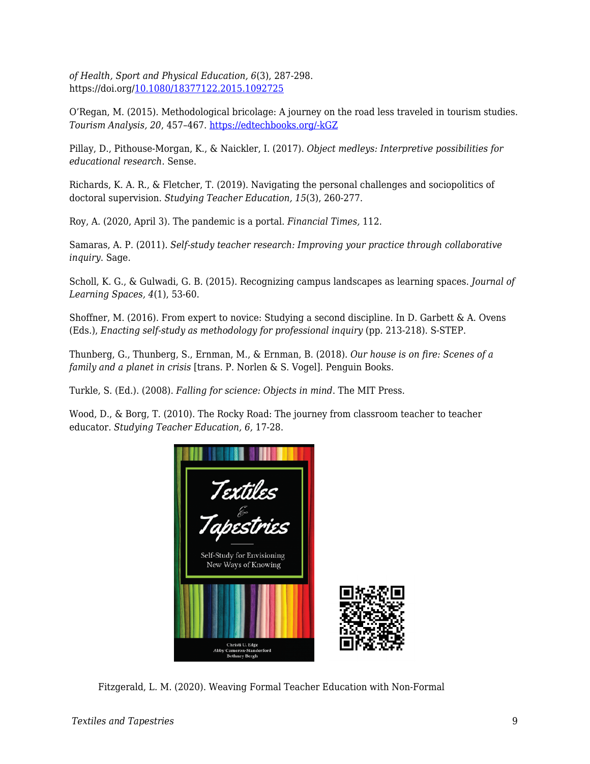*of Health, Sport and Physical Education, 6*(3), 287-298. https://doi.org/[10.1080/18377122.2015.1092725](https://doi.org/10.1080/18377122.2015.1092725)

O'Regan, M. (2015). Methodological bricolage: A journey on the road less traveled in tourism studies. *Tourism Analysis, 20*, 457–467. [https://edtechbooks.org/-kGZ](http://dx.doi.org/10.3727/108354215X14265319207434)

Pillay, D., Pithouse-Morgan, K., & Naickler, I. (2017). *Object medleys: Interpretive possibilities for educational research*. Sense.

Richards, K. A. R., & Fletcher, T. (2019). Navigating the personal challenges and sociopolitics of doctoral supervision. *Studying Teacher Education, 15*(3), 260-277.

Roy, A. (2020, April 3). The pandemic is a portal. *Financial Times,* 112.

Samaras, A. P. (2011). *Self-study teacher research: Improving your practice through collaborative inquiry*. Sage.

Scholl, K. G., & Gulwadi, G. B. (2015). Recognizing campus landscapes as learning spaces. *Journal of Learning Spaces, 4*(1), 53-60.

Shoffner, M. (2016). From expert to novice: Studying a second discipline. In D. Garbett & A. Ovens (Eds.), *Enacting self-study as methodology for professional inquiry* (pp. 213-218). S-STEP.

Thunberg, G., Thunberg, S., Ernman, M., & Ernman, B. (2018). *Our house is on fire: Scenes of a family and a planet in crisis* [trans. P. Norlen & S. Vogel]. Penguin Books.

Turkle, S. (Ed.). (2008). *Falling for science: Objects in mind*. The MIT Press.

Wood, D., & Borg, T. (2010). The Rocky Road: The journey from classroom teacher to teacher educator. *Studying Teacher Education, 6,* 17-28.



Fitzgerald, L. M. (2020). Weaving Formal Teacher Education with Non-Formal